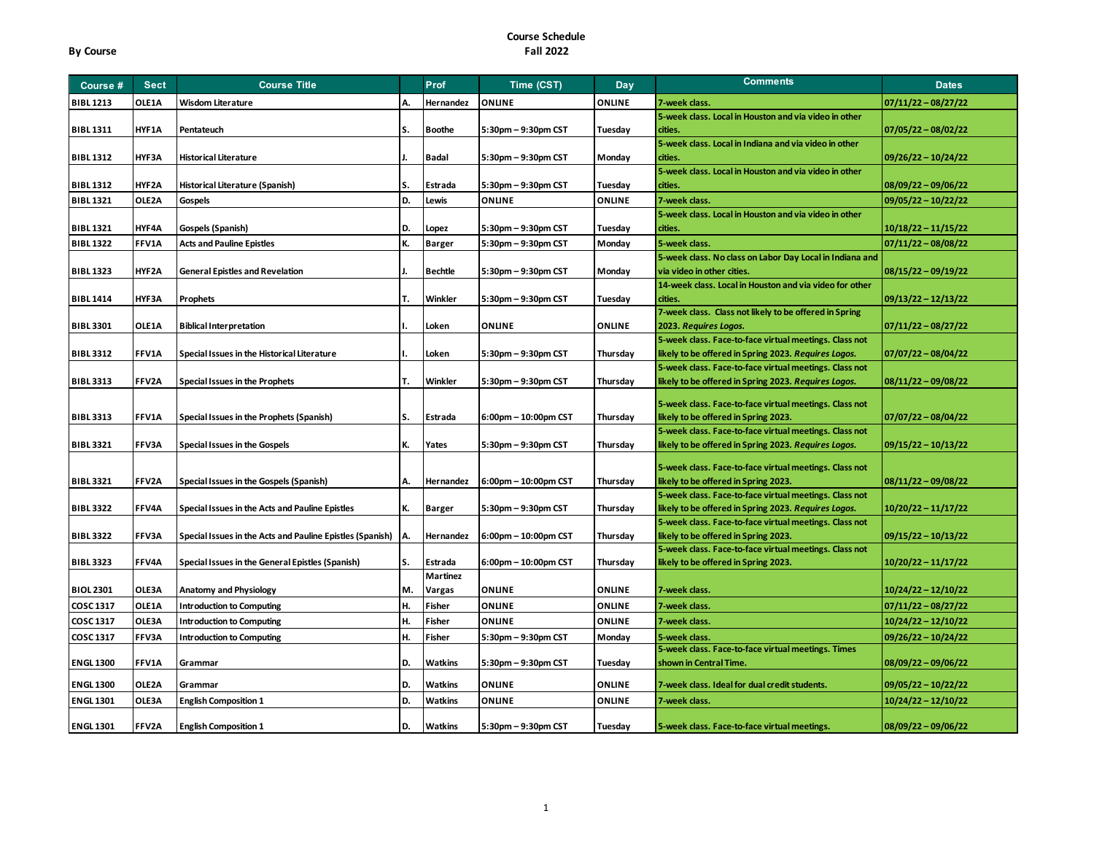| Course #         | <b>Sect</b> | <b>Course Title</b>                                       |    | Prof            | Time (CST)           | Day           | <b>Comments</b>                                                                                | <b>Dates</b>          |
|------------------|-------------|-----------------------------------------------------------|----|-----------------|----------------------|---------------|------------------------------------------------------------------------------------------------|-----------------------|
| <b>BIBL1213</b>  | OLE1A       | <b>Wisdom Literature</b>                                  | А  | Hernandez       | <b>ONLINE</b>        | <b>ONLINE</b> | 7-week class.                                                                                  | $07/11/22 - 08/27/22$ |
|                  |             |                                                           |    |                 |                      |               | 5-week class. Local in Houston and via video in other                                          |                       |
| <b>BIBL 1311</b> | HYF1A       | Pentateuch                                                | S. | <b>Boothe</b>   | 5:30pm - 9:30pm CST  | Tuesday       | cities.                                                                                        | $07/05/22 - 08/02/22$ |
|                  |             |                                                           |    |                 |                      |               | 5-week class. Local in Indiana and via video in other                                          |                       |
| <b>BIBL 1312</b> | HYF3A       | <b>Historical Literature</b>                              |    | Badal           | 5:30pm - 9:30pm CST  | Monday        | cities.                                                                                        | $09/26/22 - 10/24/22$ |
|                  |             |                                                           |    |                 |                      |               | 5-week class. Local in Houston and via video in other                                          |                       |
| <b>BIBL 1312</b> | HYF2A       | Historical Literature (Spanish)                           | S. | Estrada         | 5:30pm - 9:30pm CST  | Tuesday       | cities.                                                                                        | $08/09/22 - 09/06/22$ |
| <b>BIBL1321</b>  | OLE2A       | Gospels                                                   | D. | Lewis           | <b>ONLINE</b>        | <b>ONLINE</b> | 7-week class.                                                                                  | $09/05/22 - 10/22/22$ |
|                  |             |                                                           |    |                 |                      |               | 5-week class. Local in Houston and via video in other                                          |                       |
| <b>BIBL1321</b>  | HYF4A       | Gospels (Spanish)                                         | D. | Lopez           | 5:30pm - 9:30pm CST  | Tuesday       | cities.                                                                                        | $10/18/22 - 11/15/22$ |
| <b>BIBL 1322</b> | FFV1A       | <b>Acts and Pauline Epistles</b>                          | K. | <b>Barger</b>   | 5:30pm - 9:30pm CST  | Monday        | 5-week class.                                                                                  | $07/11/22 - 08/08/22$ |
|                  |             |                                                           |    |                 |                      |               | 5-week class. No class on Labor Day Local in Indiana and                                       |                       |
| <b>BIBL1323</b>  | HYF2A       | <b>General Epistles and Revelation</b>                    |    | <b>Bechtle</b>  | 5:30pm - 9:30pm CST  | Monday        | via video in other cities.                                                                     | $08/15/22 - 09/19/22$ |
|                  |             |                                                           |    |                 |                      |               | 14-week class. Local in Houston and via video for other                                        |                       |
| <b>BIBL 1414</b> | HYF3A       | Prophets                                                  | т. | Winkler         | 5:30pm - 9:30pm CST  | Tuesday       | cities.                                                                                        | $09/13/22 - 12/13/22$ |
|                  |             |                                                           |    |                 |                      |               | 7-week class. Class not likely to be offered in Spring                                         |                       |
| <b>BIBL 3301</b> | OLE1A       | <b>Biblical Interpretation</b>                            |    | Loken           | <b>ONLINE</b>        | <b>ONLINE</b> | 2023. Requires Logos.                                                                          | $07/11/22 - 08/27/22$ |
|                  |             |                                                           |    |                 |                      |               | 5-week class. Face-to-face virtual meetings. Class not                                         |                       |
| <b>BIBL 3312</b> | FFV1A       | Special Issues in the Historical Literature               |    | Loken           | 5:30pm - 9:30pm CST  | Thursday      | likely to be offered in Spring 2023. Requires Logos.                                           | $07/07/22 - 08/04/22$ |
| <b>BIBL 3313</b> | FFV2A       |                                                           | т. | Winkler         | 5:30pm - 9:30pm CST  |               | 5-week class. Face-to-face virtual meetings. Class not                                         |                       |
|                  |             | Special Issues in the Prophets                            |    |                 |                      | Thursday      | likely to be offered in Spring 2023. Requires Logos.                                           | $08/11/22 - 09/08/22$ |
|                  |             |                                                           |    |                 |                      |               | 5-week class. Face-to-face virtual meetings. Class not                                         |                       |
| <b>BIBL 3313</b> | FFV1A       | Special Issues in the Prophets (Spanish)                  | S. | Estrada         | 6:00pm - 10:00pm CST | Thursday      | likely to be offered in Spring 2023.                                                           | $07/07/22 - 08/04/22$ |
|                  |             |                                                           |    |                 |                      |               | 5-week class. Face-to-face virtual meetings. Class not                                         |                       |
| <b>BIBL 3321</b> | FFV3A       | Special Issues in the Gospels                             | К. | Yates           | 5:30pm - 9:30pm CST  | Thursday      | likely to be offered in Spring 2023. Requires Logos.                                           | 09/15/22 - 10/13/22   |
|                  |             |                                                           |    |                 |                      |               |                                                                                                |                       |
| <b>BIBL 3321</b> | FFV2A       |                                                           | А. | Hernandez       |                      |               | 5-week class. Face-to-face virtual meetings. Class not                                         |                       |
|                  |             | Special Issues in the Gospels (Spanish)                   |    |                 | 6:00pm - 10:00pm CST | Thursday      | likely to be offered in Spring 2023.<br>5-week class. Face-to-face virtual meetings. Class not | $08/11/22 - 09/08/22$ |
| <b>BIBL 3322</b> | FFV4A       | Special Issues in the Acts and Pauline Epistles           | К. | <b>Barger</b>   | 5:30pm - 9:30pm CST  | Thursday      | likely to be offered in Spring 2023. Requires Logos.                                           | $10/20/22 - 11/17/22$ |
|                  |             |                                                           |    |                 |                      |               | 5-week class. Face-to-face virtual meetings. Class not                                         |                       |
| <b>BIBL 3322</b> | FFV3A       | Special Issues in the Acts and Pauline Epistles (Spanish) | A. | Hernandez       | 6:00pm - 10:00pm CST | Thursday      | likely to be offered in Spring 2023.                                                           | $09/15/22 - 10/13/22$ |
|                  |             |                                                           |    |                 |                      |               | 5-week class. Face-to-face virtual meetings. Class not                                         |                       |
| <b>BIBL 3323</b> | FFV4A       | Special Issues in the General Epistles (Spanish)          | s. | Estrada         | 6:00pm - 10:00pm CST | Thursday      | likely to be offered in Spring 2023.                                                           | $10/20/22 - 11/17/22$ |
|                  |             |                                                           |    | <b>Martinez</b> |                      |               |                                                                                                |                       |
| <b>BIOL 2301</b> | OLE3A       | Anatomy and Physiology                                    | M. | Vargas          | <b>ONLINE</b>        | <b>ONLINE</b> | 7-week class.                                                                                  | 10/24/22 - 12/10/22   |
| <b>COSC 1317</b> | OLE1A       | <b>Introduction to Computing</b>                          | Н. | Fisher          | <b>ONLINE</b>        | <b>ONLINE</b> | 7-week class.                                                                                  | $07/11/22 - 08/27/22$ |
| COSC 1317        | OLE3A       | <b>Introduction to Computing</b>                          | н. | Fisher          | <b>ONLINE</b>        | <b>ONLINE</b> | 7-week class.                                                                                  | $10/24/22 - 12/10/22$ |
| COSC 1317        | FFV3A       | <b>Introduction to Computing</b>                          | н. | Fisher          | 5:30pm - 9:30pm CST  | Monday        | 5-week class.                                                                                  | $09/26/22 - 10/24/22$ |
|                  |             |                                                           |    |                 |                      |               | 5-week class. Face-to-face virtual meetings. Times                                             |                       |
| <b>ENGL 1300</b> | FFV1A       | Grammar                                                   | D. | <b>Watkins</b>  | 5:30pm - 9:30pm CST  | Tuesday       | shown in Central Time.                                                                         | $08/09/22 - 09/06/22$ |
|                  |             |                                                           |    |                 |                      |               |                                                                                                |                       |
| <b>ENGL 1300</b> | OLE2A       | Grammar                                                   | D. | <b>Watkins</b>  | <b>ONLINE</b>        | <b>ONLINE</b> | 7-week class. Ideal for dual credit students.                                                  | 09/05/22 - 10/22/22   |
| <b>ENGL 1301</b> | OLE3A       | <b>English Composition 1</b>                              | D. | Watkins         | <b>ONLINE</b>        | <b>ONLINE</b> | 7-week class.                                                                                  | 10/24/22 – 12/10/22   |
| <b>ENGL 1301</b> | FFV2A       | <b>English Composition 1</b>                              | D. | <b>Watkins</b>  | 5:30pm - 9:30pm CST  | Tuesday       | 5-week class. Face-to-face virtual meetings.                                                   | $08/09/22 - 09/06/22$ |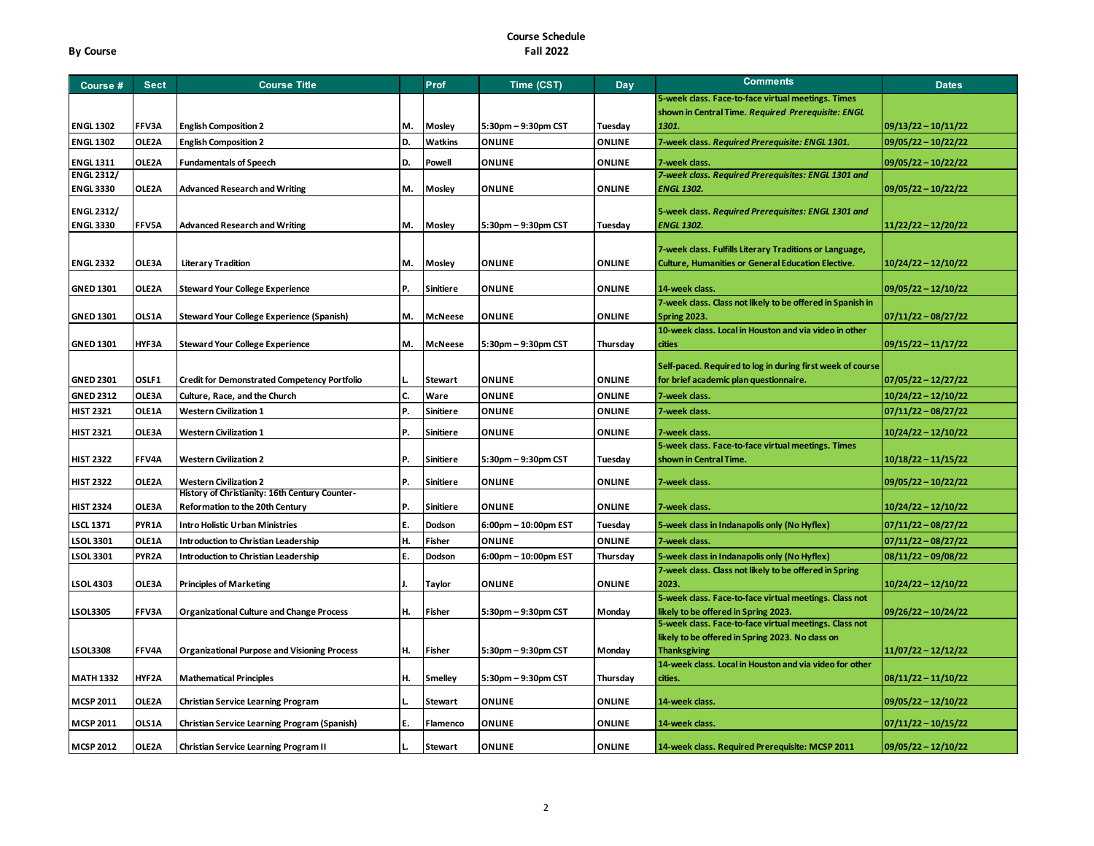| Course #          | <b>Sect</b>        | <b>Course Title</b>                                                             |     | Prof             | Time (CST)           | Day           | Comments                                                                                                             | <b>Dates</b>          |
|-------------------|--------------------|---------------------------------------------------------------------------------|-----|------------------|----------------------|---------------|----------------------------------------------------------------------------------------------------------------------|-----------------------|
|                   |                    |                                                                                 |     |                  |                      |               | 5-week class. Face-to-face virtual meetings. Times                                                                   |                       |
|                   |                    |                                                                                 |     |                  |                      |               | shown in Central Time. Required Prerequisite: ENGL                                                                   |                       |
| <b>ENGL 1302</b>  | FFV3A              | <b>English Composition 2</b>                                                    | M.  | Mosley           | 5:30pm - 9:30pm CST  | Tuesday       | 1301.                                                                                                                | $09/13/22 - 10/11/22$ |
| <b>ENGL 1302</b>  | OLE2A              | <b>English Composition 2</b>                                                    | D.  | Watkins          | <b>ONLINE</b>        | <b>ONLINE</b> | 7-week class. Required Prerequisite: ENGL 1301.                                                                      | $09/05/22 - 10/22/22$ |
| <b>ENGL 1311</b>  | OLE2A              | <b>Fundamentals of Speech</b>                                                   | D.  | Powell           | <b>ONLINE</b>        | <b>ONLINE</b> | 7-week class.                                                                                                        | $09/05/22 - 10/22/22$ |
| <b>ENGL 2312/</b> |                    |                                                                                 |     |                  |                      |               | 7-week class. Required Prerequisites: ENGL 1301 and                                                                  |                       |
| <b>ENGL 3330</b>  | OLE2A              | <b>Advanced Research and Writing</b>                                            | M.  | Mosley           | <b>ONLINE</b>        | <b>ONLINE</b> | <b>ENGL 1302.</b>                                                                                                    | 09/05/22 - 10/22/22   |
| <b>ENGL 2312/</b> |                    |                                                                                 |     |                  |                      |               | 5-week class. Required Prerequisites: ENGL 1301 and                                                                  |                       |
| <b>ENGL 3330</b>  | FFV5A              | <b>Advanced Research and Writing</b>                                            | м.  | Mosley           | 5:30pm - 9:30pm CST  | Tuesday       | <b>ENGL 1302.</b>                                                                                                    | $11/22/22 - 12/20/22$ |
|                   |                    |                                                                                 |     |                  |                      |               |                                                                                                                      |                       |
| <b>ENGL 2332</b>  | OLE3A              | <b>Literary Tradition</b>                                                       | M.  | Mosley           | <b>ONLINE</b>        | ONLINE        | 7-week class. Fulfills Literary Traditions or Language,<br><b>Culture, Humanities or General Education Elective.</b> |                       |
|                   |                    |                                                                                 |     |                  |                      |               |                                                                                                                      | 10/24/22 - 12/10/22   |
| <b>GNED 1301</b>  | OLE2A              | <b>Steward Your College Experience</b>                                          | P.  | <b>Sinitiere</b> | <b>ONLINE</b>        | <b>ONLINE</b> | 14-week class.                                                                                                       | $09/05/22 - 12/10/22$ |
|                   |                    |                                                                                 |     |                  |                      |               | 7-week class. Class not likely to be offered in Spanish in                                                           |                       |
| <b>GNED 1301</b>  | OLS1A              | <b>Steward Your College Experience (Spanish)</b>                                | M.  | <b>McNeese</b>   | <b>ONLINE</b>        | <b>ONLINE</b> | <b>Spring 2023.</b>                                                                                                  | $07/11/22 - 08/27/22$ |
|                   |                    |                                                                                 |     |                  |                      |               | 10-week class. Local in Houston and via video in other                                                               |                       |
| <b>GNED 1301</b>  | HYF3A              | <b>Steward Your College Experience</b>                                          | M.  | <b>McNeese</b>   | 5:30pm - 9:30pm CST  | Thursday      | <b>cities</b>                                                                                                        | $09/15/22 - 11/17/22$ |
|                   |                    |                                                                                 |     |                  |                      |               | Self-paced. Required to log in during first week of course                                                           |                       |
| <b>GNED 2301</b>  | OSLF1              | <b>Credit for Demonstrated Competency Portfolio</b>                             |     | <b>Stewart</b>   | <b>ONLINE</b>        | <b>ONLINE</b> | for brief academic plan questionnaire.                                                                               | $07/05/22 - 12/27/22$ |
| <b>GNED 2312</b>  | OLE3A              | Culture, Race, and the Church                                                   | c.  | Ware             | ONLINE               | <b>ONLINE</b> | 7-week class.                                                                                                        | $10/24/22 - 12/10/22$ |
| <b>HIST 2321</b>  | OLE1A              | <b>Western Civilization 1</b>                                                   | P.  | <b>Sinitiere</b> | <b>ONLINE</b>        | ONLINE        | 7-week class.                                                                                                        | $07/11/22 - 08/27/22$ |
| <b>HIST 2321</b>  | OLE3A              | <b>Western Civilization 1</b>                                                   | P.  | <b>Sinitiere</b> | <b>ONLINE</b>        | <b>ONLINE</b> | 7-week class.                                                                                                        | 10/24/22 - 12/10/22   |
|                   |                    |                                                                                 |     |                  |                      |               | 5-week class. Face-to-face virtual meetings. Times                                                                   |                       |
| <b>HIST 2322</b>  | <b>FFV4A</b>       | <b>Western Civilization 2</b>                                                   | P.  | <b>Sinitiere</b> | 5:30pm - 9:30pm CST  | Tuesdav       | shown in Central Time.                                                                                               | $10/18/22 - 11/15/22$ |
|                   |                    |                                                                                 |     |                  |                      |               |                                                                                                                      |                       |
| <b>HIST 2322</b>  | OLE2A              | <b>Western Civilization 2</b><br>History of Christianity: 16th Century Counter- | IP. | <b>Sinitiere</b> | <b>ONLINE</b>        | <b>ONLINE</b> | 7-week class.                                                                                                        | $09/05/22 - 10/22/22$ |
| <b>HIST 2324</b>  | OLE3A              | Reformation to the 20th Century                                                 | P.  | <b>Sinitiere</b> | <b>ONLINE</b>        | <b>ONLINE</b> | 7-week class.                                                                                                        | $10/24/22 - 12/10/22$ |
| <b>LSCL 1371</b>  | PYR1A              | Intro Holistic Urban Ministries                                                 | E.  | Dodson           | 6:00pm - 10:00pm EST | Tuesday       | 5-week class in Indanapolis only (No Hyflex)                                                                         | $07/11/22 - 08/27/22$ |
| <b>LSOL 3301</b>  | OLE1A              | Introduction to Christian Leadership                                            | H.  | Fisher           | <b>ONLINE</b>        | <b>ONLINE</b> | 7-week class.                                                                                                        | $07/11/22 - 08/27/22$ |
| <b>LSOL 3301</b>  | PYR <sub>2</sub> A | Introduction to Christian Leadership                                            | Ε.  | Dodson           | 6:00pm - 10:00pm EST | Thursday      | 5-week class in Indanapolis only (No Hyflex)                                                                         | $08/11/22 - 09/08/22$ |
|                   |                    |                                                                                 |     |                  |                      |               | 7-week class. Class not likely to be offered in Spring                                                               |                       |
| <b>LSOL 4303</b>  | OLE3A              | <b>Principles of Marketing</b>                                                  |     | <b>Taylor</b>    | <b>ONLINE</b>        | <b>ONLINE</b> | 2023.                                                                                                                | 10/24/22 - 12/10/22   |
|                   |                    |                                                                                 |     |                  |                      |               | 5-week class. Face-to-face virtual meetings. Class not                                                               |                       |
| <b>LSOL3305</b>   | FFV3A              | <b>Organizational Culture and Change Process</b>                                | н.  | Fisher           | 5:30pm - 9:30pm CST  | Monday        | likely to be offered in Spring 2023.                                                                                 | 09/26/22 – 10/24/22   |
|                   |                    |                                                                                 |     |                  |                      |               | 5-week class. Face-to-face virtual meetings. Class not<br>likely to be offered in Spring 2023. No class on           |                       |
| <b>LSOL3308</b>   | FFV4A              | <b>Organizational Purpose and Visioning Process</b>                             | H.  | Fisher           | 5:30pm - 9:30pm CST  | Monday        | <b>Thanksgiving</b>                                                                                                  | $11/07/22 - 12/12/22$ |
|                   |                    |                                                                                 |     |                  |                      |               | 14-week class. Local in Houston and via video for other                                                              |                       |
| <b>MATH 1332</b>  | HYF2A              | <b>Mathematical Principles</b>                                                  | н.  | <b>Smelley</b>   | 5:30pm - 9:30pm CST  | Thursday      | cities.                                                                                                              | $08/11/22 - 11/10/22$ |
|                   |                    |                                                                                 |     |                  |                      |               |                                                                                                                      |                       |
| <b>MCSP 2011</b>  | OLE2A              | Christian Service Learning Program                                              |     | <b>Stewart</b>   | <b>ONLINE</b>        | <b>ONLINE</b> | 14-week class.                                                                                                       | 09/05/22 - 12/10/22   |
| <b>MCSP 2011</b>  | OLS1A              | Christian Service Learning Program (Spanish)                                    | E.  | Flamenco         | <b>ONLINE</b>        | <b>ONLINE</b> | 14-week class.                                                                                                       | $07/11/22 - 10/15/22$ |
| <b>MCSP 2012</b>  | OLE2A              | Christian Service Learning Program II                                           |     | <b>Stewart</b>   | <b>ONLINE</b>        | ONLINE        | 14-week class. Required Prerequisite: MCSP 2011                                                                      | 09/05/22 - 12/10/22   |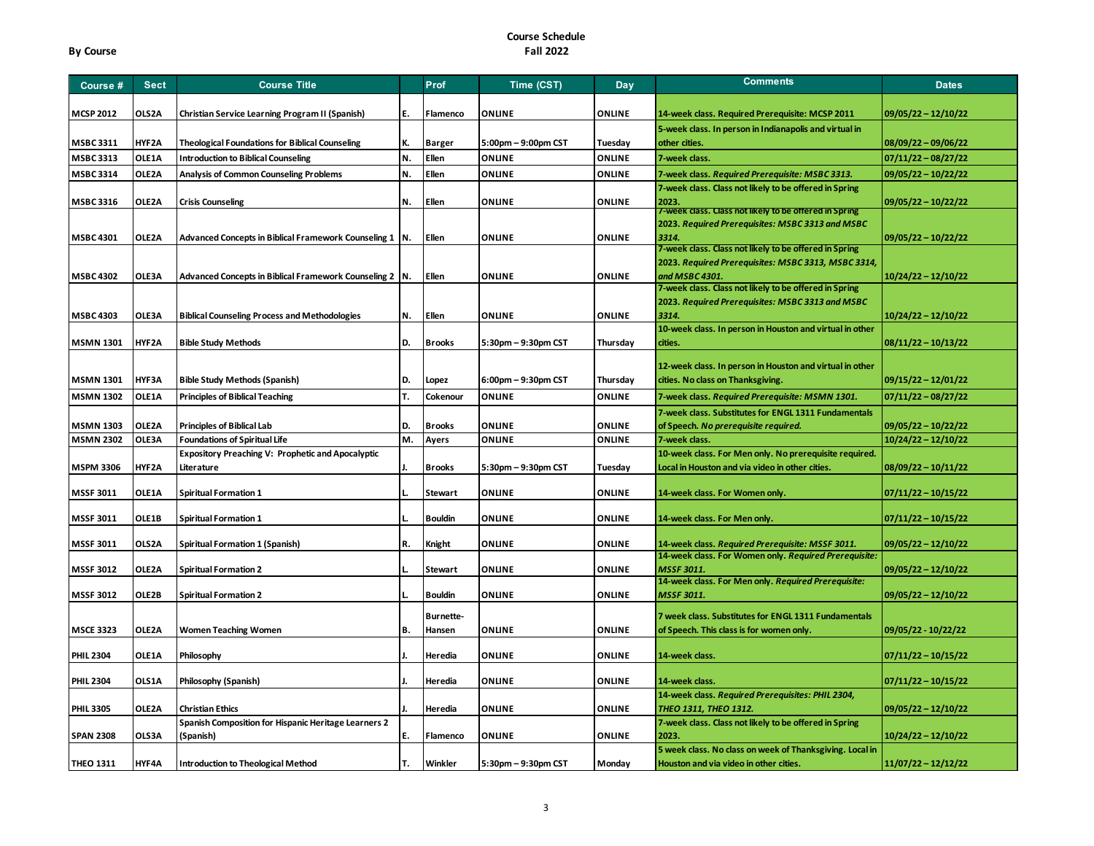| Course #         | <b>Sect</b> | <b>Course Title</b>                                       |     | Prof             | Time (CST)          | Day           | <b>Comments</b>                                                                                               | <b>Dates</b>          |
|------------------|-------------|-----------------------------------------------------------|-----|------------------|---------------------|---------------|---------------------------------------------------------------------------------------------------------------|-----------------------|
| <b>MCSP 2012</b> | OLS2A       | Christian Service Learning Program II (Spanish)           | IE. | Flamenco         | <b>ONLINE</b>       | ONLINE        | 14-week class. Required Prerequisite: MCSP 2011                                                               | $09/05/22 - 12/10/22$ |
|                  |             |                                                           |     |                  |                     |               | 5-week class. In person in Indianapolis and virtual in                                                        |                       |
| <b>MSBC 3311</b> | HYF2A       | <b>Theological Foundations for Biblical Counseling</b>    | K.  | <b>Barger</b>    | 5:00pm - 9:00pm CST | Tuesday       | other cities.                                                                                                 | $08/09/22 - 09/06/22$ |
| <b>MSBC 3313</b> | OLE1A       | <b>Introduction to Biblical Counseling</b>                | IN. | Ellen            | <b>ONLINE</b>       | <b>ONLINE</b> | 7-week class.                                                                                                 | $07/11/22 - 08/27/22$ |
| <b>MSBC 3314</b> | OLE2A       | <b>Analysis of Common Counseling Problems</b>             | N.  | Ellen            | ONLINE              | ONLINE        | 7-week class. Required Prerequisite: MSBC 3313.                                                               | 09/05/22 - 10/22/22   |
|                  |             |                                                           |     |                  |                     |               | 7-week class. Class not likely to be offered in Spring                                                        |                       |
| <b>MSBC 3316</b> | OLE2A       | <b>Crisis Counseling</b>                                  | N.  | Ellen            | <b>ONLINE</b>       | <b>ONLINE</b> | 2023.                                                                                                         | $09/05/22 - 10/22/22$ |
|                  |             |                                                           |     |                  |                     |               | 7-week class. Class not likely to be offered in Spring                                                        |                       |
|                  |             |                                                           |     |                  |                     |               | 2023. Required Prerequisites: MSBC 3313 and MSBC                                                              |                       |
| <b>MSBC 4301</b> | OLE2A       | Advanced Concepts in Biblical Framework Counseling 1   N. |     | Ellen            | <b>ONLINE</b>       | <b>ONLINE</b> | 3314.                                                                                                         | $09/05/22 - 10/22/22$ |
|                  |             |                                                           |     |                  |                     |               | 7-week class. Class not likely to be offered in Spring<br>2023. Required Prerequisites: MSBC 3313, MSBC 3314, |                       |
| <b>MSBC 4302</b> | OLE3A       | Advanced Concepts in Biblical Framework Counseling 2   N. |     | Ellen            | <b>ONLINE</b>       | <b>ONLINE</b> | and MSBC 4301.                                                                                                | 10/24/22 - 12/10/22   |
|                  |             |                                                           |     |                  |                     |               | 7-week class. Class not likely to be offered in Spring                                                        |                       |
|                  |             |                                                           |     |                  |                     |               | 2023. Required Prerequisites: MSBC 3313 and MSBC                                                              |                       |
| <b>MSBC 4303</b> | OLE3A       | <b>Biblical Counseling Process and Methodologies</b>      | N.  | Ellen            | <b>ONLINE</b>       | <b>ONLINE</b> | 3314.                                                                                                         | $10/24/22 - 12/10/22$ |
|                  |             |                                                           |     |                  |                     |               | 10-week class. In person in Houston and virtual in other                                                      |                       |
| <b>MSMN 1301</b> | HYF2A       | <b>Bible Study Methods</b>                                | D.  | <b>Brooks</b>    | 5:30pm - 9:30pm CST | Thursday      | cities.                                                                                                       | $08/11/22 - 10/13/22$ |
|                  |             |                                                           |     |                  |                     |               |                                                                                                               |                       |
|                  |             |                                                           |     |                  |                     |               | 12-week class. In person in Houston and virtual in other                                                      |                       |
| <b>MSMN 1301</b> | HYF3A       | <b>Bible Study Methods (Spanish)</b>                      | D.  | Lopez            | 6:00pm - 9:30pm CST | Thursday      | cities. No class on Thanksgiving.                                                                             | $09/15/22 - 12/01/22$ |
| <b>MSMN 1302</b> | OLE1A       | <b>Principles of Biblical Teaching</b>                    | т.  | Cokenour         | <b>ONLINE</b>       | <b>ONLINE</b> | 7-week class. Required Prerequisite: MSMN 1301.                                                               | $07/11/22 - 08/27/22$ |
|                  |             |                                                           |     |                  |                     |               | 7-week class. Substitutes for ENGL 1311 Fundamentals                                                          |                       |
| <b>MSMN 1303</b> | OLE2A       | <b>Principles of Biblical Lab</b>                         | ID. | <b>Brooks</b>    | <b>ONLINE</b>       | ONLINE        | of Speech. No prerequisite required.                                                                          | $09/05/22 - 10/22/22$ |
| <b>MSMN 2302</b> | OLE3A       | <b>Foundations of Spiritual Life</b>                      | M.  | Ayers            | <b>ONLINE</b>       | ONLINE        | 7-week class.                                                                                                 | $10/24/22 - 12/10/22$ |
|                  |             | <b>Expository Preaching V: Prophetic and Apocalyptic</b>  |     |                  |                     |               | 10-week class. For Men only. No prerequisite required.                                                        |                       |
| <b>MSPM 3306</b> | HYF2A       | Literature                                                | IJ. | <b>Brooks</b>    | 5:30pm - 9:30pm CST | Tuesday       | Local in Houston and via video in other cities.                                                               | $08/09/22 - 10/11/22$ |
| <b>MSSF 3011</b> | OLE1A       | <b>Spiritual Formation 1</b>                              |     | <b>Stewart</b>   | <b>ONLINE</b>       | <b>ONLINE</b> | 14-week class. For Women only.                                                                                | $07/11/22 - 10/15/22$ |
|                  |             |                                                           |     |                  |                     |               |                                                                                                               |                       |
| <b>MSSF 3011</b> | OLE1B       | <b>Spiritual Formation 1</b>                              |     | <b>Bouldin</b>   | <b>ONLINE</b>       | <b>ONLINE</b> | 14-week class. For Men only.                                                                                  | $07/11/22 - 10/15/22$ |
|                  |             |                                                           |     |                  |                     |               |                                                                                                               |                       |
| <b>MSSF 3011</b> | OLS2A       | Spiritual Formation 1 (Spanish)                           | R.  | Knight           | ONLINE              | <b>ONLINE</b> | 14-week class. Required Prerequisite: MSSF 3011.                                                              | 09/05/22 - 12/10/22   |
|                  |             |                                                           |     |                  |                     |               | 14-week class. For Women only. Required Prerequisite:                                                         |                       |
| <b>MSSF 3012</b> | OLE2A       | <b>Spiritual Formation 2</b>                              |     | <b>Stewart</b>   | <b>ONLINE</b>       | <b>ONLINE</b> | MSSF 3011<br>14-week class. For Men only. Required Prerequisite:                                              | 09/05/22 - 12/10/22   |
| <b>MSSF 3012</b> | OLE2B       | <b>Spiritual Formation 2</b>                              |     | <b>Bouldin</b>   | <b>ONLINE</b>       | <b>ONLINE</b> | <b>MSSF 3011.</b>                                                                                             | $09/05/22 - 12/10/22$ |
|                  |             |                                                           |     |                  |                     |               |                                                                                                               |                       |
|                  |             |                                                           |     | <b>Burnette-</b> |                     |               | 7 week class. Substitutes for ENGL 1311 Fundamentals                                                          |                       |
| <b>MSCE 3323</b> | OLE2A       | <b>Women Teaching Women</b>                               | B.  | Hansen           | <b>ONLINE</b>       | <b>ONLINE</b> | of Speech. This class is for women only.                                                                      | 09/05/22 - 10/22/22   |
| <b>PHIL 2304</b> | OLE1A       | Philosophy                                                |     | Heredia          | <b>ONLINE</b>       | <b>ONLINE</b> | 14-week class.                                                                                                | $07/11/22 - 10/15/22$ |
|                  |             |                                                           |     |                  |                     |               |                                                                                                               |                       |
| <b>PHIL 2304</b> | OLS1A       | Philosophy (Spanish)                                      |     | Heredia          | <b>ONLINE</b>       | <b>ONLINE</b> | 14-week class.                                                                                                | $07/11/22 - 10/15/22$ |
|                  |             |                                                           |     |                  |                     |               | 14-week class. Required Prerequisites: PHIL 2304,                                                             |                       |
| <b>PHIL3305</b>  | OLE2A       | Christian Ethics                                          |     | Heredia          | <b>ONLINE</b>       | <b>ONLINE</b> | THEO 1311, THEO 1312.                                                                                         | 09/05/22 – 12/10/22   |
|                  |             | Spanish Composition for Hispanic Heritage Learners 2      |     |                  |                     |               | 7-week class. Class not likely to be offered in Spring                                                        |                       |
| <b>SPAN 2308</b> | OLS3A       | (Spanish)                                                 | Ε.  | Flamenco         | <b>ONLINE</b>       | <b>ONLINE</b> | 2023.                                                                                                         | 10/24/22 - 12/10/22   |
|                  |             |                                                           |     |                  |                     |               | 5 week class. No class on week of Thanksgiving. Local in                                                      |                       |
| <b>THEO 1311</b> | HYF4A       | <b>Introduction to Theological Method</b>                 | т.  | Winkler          | 5:30pm - 9:30pm CST | Monday        | Houston and via video in other cities.                                                                        | $11/07/22 - 12/12/22$ |